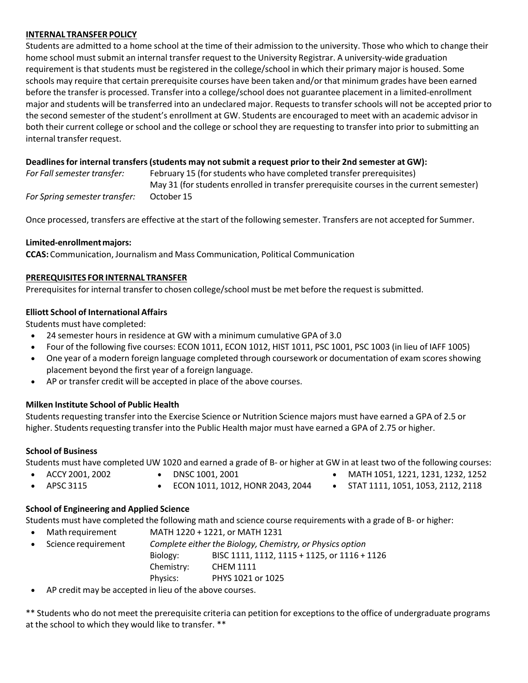### **INTERNAL TRANSFER POLICY**

Students are admitted to a home school at the time of their admission to the university. Those who which to change their home school must submit an internal transfer request to the University Registrar. A university-wide graduation requirement is that students must be registered in the college/school in which their primary major is housed. Some schools may require that certain prerequisite courses have been taken and/or that minimum grades have been earned before the transfer is processed. Transfer into a college/school does not guarantee placement in a limited-enrollment major and students will be transferred into an undeclared major. Requests to transfer schools will not be accepted prior to the second semester of the student's enrollment at GW. Students are encouraged to meet with an academic advisor in both their current college or school and the college or school they are requesting to transfer into prior to submitting an internal transfer request.

## **Deadlinesfor internal transfers (students may not submit a request prior to their 2nd semester at GW):**

| For Fall semester transfer:   | February 15 (for students who have completed transfer prerequisites)                    |
|-------------------------------|-----------------------------------------------------------------------------------------|
|                               | May 31 (for students enrolled in transfer prerequisite courses in the current semester) |
| For Spring semester transfer: | October 15                                                                              |

Once processed, transfers are effective at the start of the following semester. Transfers are not accepted for Summer.

## **Limited‐enrollmentmajors:**

**CCAS:** Communication, Journalism and Mass Communication, Political Communication

#### **PREREQUISITES FOR INTERNAL TRANSFER**

Prerequisites for internal transfer to chosen college/school must be met before the request is submitted.

#### **Elliott School of International Affairs**

Students must have completed:

- 24 semester hours in residence at GW with a minimum cumulative GPA of 3.0
- Four of the following five courses: ECON 1011, ECON 1012, HIST 1011, PSC 1001, PSC 1003 (in lieu of IAFF 1005)
- One year of a modern foreign language completed through coursework or documentation of exam scores showing placement beyond the first year of a foreign language.
- AP or transfer credit will be accepted in place of the above courses.

## **Milken Institute School of Public Health**

Students requesting transfer into the Exercise Science or Nutrition Science majors must have earned a GPA of 2.5 or higher. Students requesting transfer into the Public Health major must have earned a GPA of 2.75 or higher.

## **School of Business**

Students must have completed UW 1020 and earned a grade of B‐ or higher at GW in at least two of the following courses:

- ACCY 2001, 2002
- DNSC 1001, 2001
- MATH 1051, 1221, 1231, 1232, 1252
- APSC 3115
	- ECON 1011, 1012, HONR 2043, 2044
- 
- STAT 1111, 1051, 1053, 2112, 2118

# **School of Engineering and Applied Science**

Students must have completed the following math and science course requirements with a grade of B‐ or higher:

• Math requirement MATH 1220 + 1221, or MATH 1231 • Science requirement *Complete either the Biology, Chemistry, or Physics option* Biology: BISC 1111, 1112, 1115 + 1125, or 1116 + 1126 Chemistry: CHEM 1111 Physics: PHYS 1021 or 1025

• AP credit may be accepted in lieu of the above courses.

\*\* Students who do not meet the prerequisite criteria can petition for exceptions to the office of undergraduate programs at the school to which they would like to transfer. \*\*